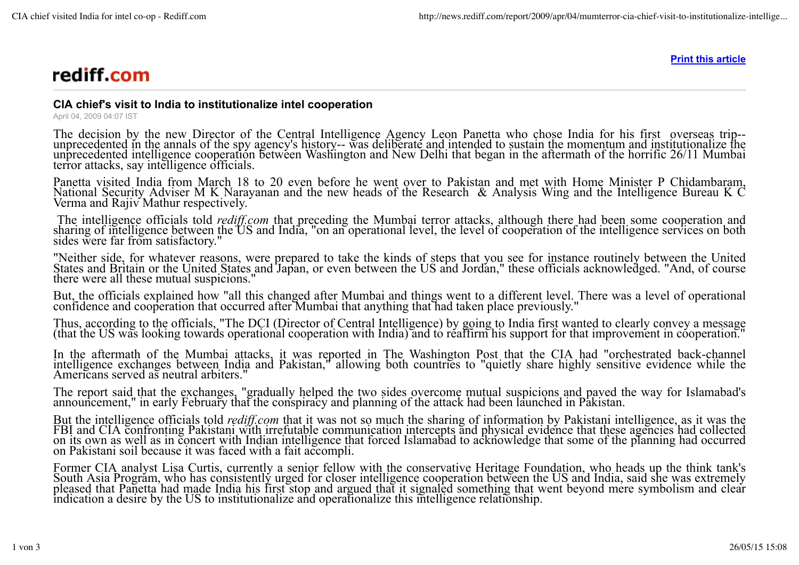## rediff.com

**Print this article**

## **CIA chief's visit to India to institutionalize intel cooperation**

April 04, 2009 04:07 IST

The decision by the new Director of the Central Intelligence Agency Leon Panetta who chose India for his first overseas trip- unprecedented in the annals of the spy agency's history-- was deliberate and intended to sustain the momentum and institutionalize the unprecedented intelligence cooperation between Washington and New Delhi that began in the aftermath of the horrific 26/11 Mumbai terror attacks, say intelligence officials.

Panetta visited India from March 18 to 20 even before he went over to Pakistan and met with Home Minister P Chidambaram, National Security Adviser M K Narayanan and the new heads of the Research & Analysis Wing and the Intelligence Bureau K C Verma and Rajiv Mathur respectively.

The intelligence officials told *rediff.com* that preceding the Mumbai terror attacks, although there had been some cooperation and sharing of intelligence between the US and India, "on an operational level, the level of c sides were far from satisfactory."

"Neither side, for whatever reasons, were prepared to take the kinds of steps that you see for instance routinely between the United States and Britain or the United States and Japan, or even between the US and Jordan," these officials acknowledged. "And, of course there were all these mutual suspicions."

But, the officials explained how "all this changed after Mumbai and things went to a different level. There was a level of operational confidence and cooperation that occurred after Mumbai that anything that had taken place previously."

Thus, according to the officials, "The DCI (Director of Central Intelligence) by going to India first wanted to clearly convey a message (that the US was looking towards operational cooperation with India) and to reaffirm his support for that improvement in cooperation."

In the aftermath of the Mumbai attacks, it was reported in The Washington Post that the CIA had "orchestrated back-channel intelligence exchanges between India and Pakistan," allowing both countries to "quietly share highly sensitive evidence while the Americans served as neutral arbiters."

The report said that the exchanges, "gradually helped the two sides overcome mutual suspicions and paved the way for Islamabad's announcement," in early February that the conspiracy and planning of the attack had been launched in Pakistan.

But the intelligence officials told *rediff.com* that it was not so much the sharing of information by Pakistani intelligence, as it was the FBI and CIA confronting Pakistani with irrefutable communication intercepts and p on its own as well as in concert with Indian intelligence that forced Islamabad to acknowledge that some of the planning had occurred on Pakistani soil because it was faced with a fait accompli.

Former CIA analyst Lisa Curtis, currently a senior fellow with the conservative Heritage Foundation, who heads up the think tank's South Asia Program, who has consistently urged for closer intelligence cooperation between the US and India, said she was extremely pleased that Panetta had made India his first stop and argued that it signaled something that went beyond mere symbolism and clear indication a desire by the US to institutionalize and operationalize this intelligence relationship.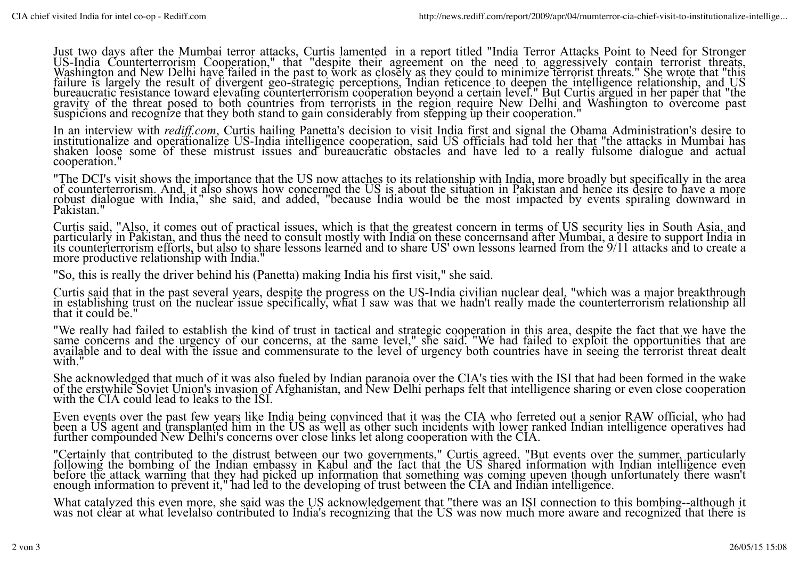Just two days after the Mumbai terror attacks, Curtis lamented in a report titled "India Terror Attacks Point to Need for Stronger US-India Counterterrorism Cooperation," that "despite their agreement on the need to aggressively contain terrorist threats, Washington and New Delhi have failed in the past to work as closely as they could to minimize terrorist threats." She wrote that "this failure is largely the result of divergent geo-strategic perceptions, Indian reticence to deepen the intelligence relationship, and US<br>bureaucratic resistance toward elevating counterterrorism cooperation beyond a certain bureaucratic resistance toward elevating counterterrorism cooperation beyond a certain level." But Curtis argued in her paper that "the gravity of the threat posed to both countries from terrorists in the region require Ne suspicions and recognize that they both stand to gain considerably from stepping up their cooperation."

In an interview with *rediff.com*, Curtis hailing Panetta's decision to visit India first and signal the Obama Administration's desire to institutionalize and operationalize US-India intelligence cooperation, said US offic shaken loose some of these mistrust issues and bureaucratic obstacles and have led to a really fulsome dialogue and actual cooperation."

"The DCI's visit shows the importance that the US now attaches to its relationship with India, more broadly but specifically in the area of counterterrorism. And, it also shows how concerned the US is about the situation in Pakistan and hence its desire to have a more robust dialogue with India," she said, and added, "because India would be the most impacted by events spiraling downward in Pakistan."

Curtis said, "Also, it comes out of practical issues, which is that the greatest concern in terms of US security lies in South Asia, and particularly in Pakistan, and thus the need to consult mostly with India on these concernsand after Mumbai, a desire to support India in its counterterrorism efforts, but also to share lessons learned and to share US' own lessons learned from the 9/11 attacks and to create a more productive relationship with India."

"So, this is really the driver behind his (Panetta) making India his first visit," she said.

Curtis said that in the past several years, despite the progress on the US-India civilian nuclear deal, "which was a major breakthrough in establishing trust on the nuclear issue specifically, what I saw was that we hadn't really made the counterterrorism relationship all that it could be."

"We really had failed to establish the kind of trust in tactical and strategic cooperation in this area, despite the fact that we have the same concerns and the urgency of our concerns, at the same level," she said. "We had failed to exploit the opportunities that are available and to deal with the issue and commensurate to the level of urgency both countries have in seeing the terrorist threat dealt with."

She acknowledged that much of it was also fueled by Indian paranoia over the CIA's ties with the ISI that had been formed in the wake of the erstwhile Soviet Union's invasion of Afghanistan, and New Delhi perhaps felt that intelligence sharing or even close cooperation with the CIA could lead to leaks to the ISI.

Even events over the past few years like India being convinced that it was the CIA who ferreted out a senior RAW official, who had been a US agent and transplanted him in the US as well as other such incidents with lower ranked Indian intelligence operatives had further compounded New Delhi's concerns over close links let along cooperation with the CIA.

"Certainly that contributed to the distrust between our two governments," Curtis agreed. "But events over the summer, particularly following the bombing of the Indian embassy in Kabul and the fact that the US shared information with Indian intelligence even before the attack warning that they had picked up information that something was coming upeven though unfortunately there wasn't enough information to prevent it," had led to the developing of trust between the CIA and Indian intelligence.

What catalyzed this even more, she said was the US acknowledgement that "there was an ISI connection to this bombing--although it was not clear at what levelalso contributed to India's recognizing that the US was now much more aware and recognized that there is